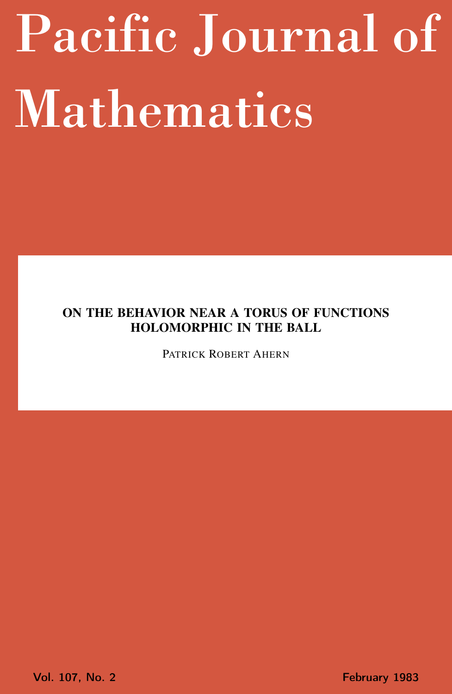# <span id="page-0-0"></span>Pacific Journal of Mathematics

# ON THE BEHAVIOR NEAR A TORUS OF FUNCTIONS HOLOMORPHIC IN THE BALL

PATRICK ROBERT AHERN

Vol. 107, No. 2 **February 1983**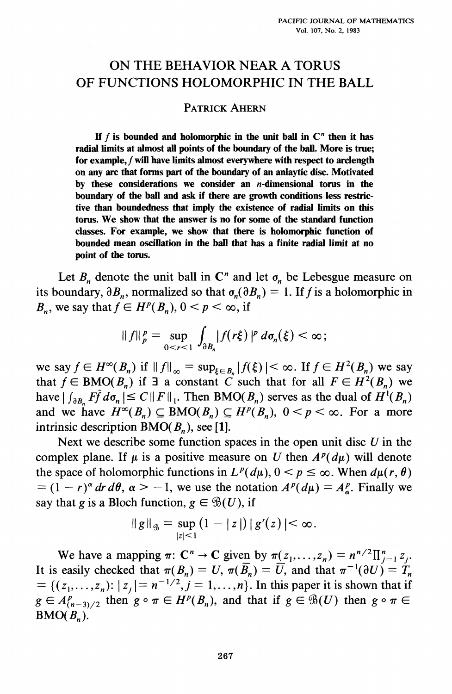## ON THE BEHAVIOR NEAR A TORUS OF FUNCTIONS HOLOMORPHIC IN THE BALL

## **PATRICK AHERN**

If  $f$  is bounded and holomorphic in the unit ball in  $C<sup>n</sup>$  then it has radial limits at almost all points of the boundary of the ball. More is true; for example,  $f$  will have limits almost everywhere with respect to arclength on any arc that forms part of the boundary of an anlaytic disc. Motivated by these considerations we consider an  $n$ -dimensional torus in the boundary of the ball and ask if there are growth conditions less restrictive than boundedness that imply the existence of radial limits on this torus. We show that the answer is no for some of the standard function classes. For example, we show that there is holomorphic function of bounded mean oscillation in the ball that has a finite radial limit at no point of the torus.

Let  $B_n$  denote the unit ball in  $C^n$  and let  $\sigma_n$  be Lebesgue measure on its boundary,  $\partial B_n$ , normalized so that  $\sigma_n(\partial B_n) = 1$ . If f is a holomorphic in  $B_n$ , we say that  $f \in H^p(B_n)$ ,  $0 \le p \le \infty$ , if

$$
\|f\|_p^p=\sup_{0
$$

we say  $f \in H^{\infty}(B_n)$  if  $||f||_{\infty} = \sup_{\xi \in B_n} |f(\xi)| < \infty$ . If  $f \in H^2(B_n)$  we say that  $f \in BMO(B_n)$  if  $\exists$  a constant C such that for all  $F \in H^2(B_n)$  we have  $| \int_{\partial B_n} F \bar{f} d\sigma_n | \leq C ||F||_1$ . Then BMO( $B_n$ ) serves as the dual of  $H^1(B_n)$ and we have  $H^{\infty}(B_n) \subseteq BMO(B_n) \subseteq H^p(B_n)$ ,  $0 \le p \le \infty$ . For a more intrinsic description  $BMO(B_n)$ , see [1].

Next we describe some function spaces in the open unit disc  $U$  in the complex plane. If  $\mu$  is a positive measure on U then  $A^p(d\mu)$  will denote the space of holomorphic functions in  $L^p(d\mu)$ ,  $0 \le p \le \infty$ . When  $d\mu(r, \theta)$  $= (1 - r)^{\alpha} dr d\theta$ ,  $\alpha > -1$ , we use the notation  $A^{p}(d\mu) = A_{\alpha}^{p}$ . Finally we say that g is a Bloch function,  $g \in \mathcal{B}(U)$ , if

$$
||g||_{\mathscr{B}} = \sup_{|z| < 1} (1 - |z|) |g'(z)| < \infty.
$$

We have a mapping  $\pi: \mathbb{C}^n \to \mathbb{C}$  given by  $\pi(z_1, ..., z_n) = n^{n/2} \prod_{j=1}^n z_j$ . It is easily checked that  $\pi(B_n) = U$ ,  $\pi(\overline{B_n}) = \overline{U}$ , and that  $\pi^{-1}(\partial U) = \overline{T}_n$ = { $(z_1,...,z_n): |z_i|=n^{-1/2}, j=1,...,n$ }. In this paper it is shown that if  $g \in A_{(n-3)/2}^p$  then  $g \circ \pi \in H^p(B_n)$ , and that if  $g \in \mathcal{B}(U)$  then  $g \circ \pi \in$  $BMO(B_n)$ .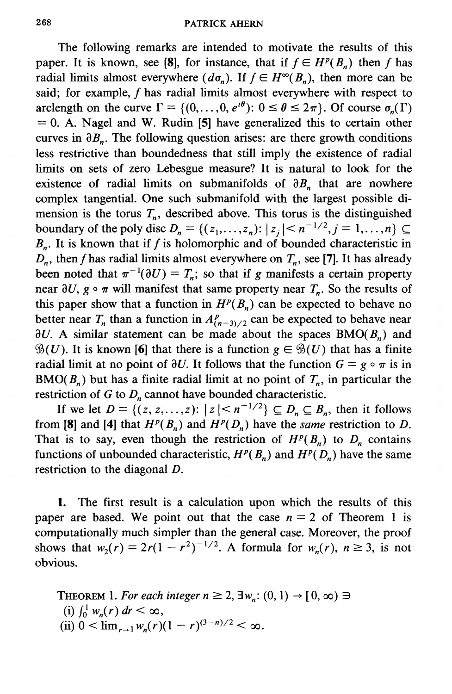The following remarks are intended to motivate the results of this paper. It is known, see [8], for instance, that if  $f \in H^p(B_n)$  then f has radial limits almost everywhere  $(d\sigma_n)$ . If  $f \in H^{\infty}(B_n)$ , then more can be said; for example, f has radial limits almost everywhere with respect to arclength on the curve  $\Gamma = \{(0,\ldots,0,e^{i\theta}) : 0 \le \theta \le 2\pi\}$ . Of course  $\sigma_n(\Gamma)$  $= 0$ . A. Nagel and W. Rudin [5] have generalized this to certain other curves in  $\partial B_n$ . The following question arises: are there growth conditions less restrictive than boundedness that still imply the existence of radial limits on sets of zero Lebesgue measure? It is natural to look for the existence of radial limits on submanifolds of  $\partial B_n$ , that are nowhere complex tangential. One such submanifold with the largest possible dimension is the torus  $T_n$ , described above. This torus is the distinguished boundary of the poly disc  $D_n = \{(z_1, ..., z_n): |z_i| < n^{-1/2}, j = 1, ..., n\} \subseteq$  $B_n$ . It is known that if f is holomorphic and of bounded characteristic in  $D_n$ , then f has radial limits almost everywhere on  $T_n$ , see [7]. It has already been noted that  $\pi^{-1}(\partial U) = T_n$ ; so that if g manifests a certain property near  $\partial U$ ,  $g \circ \pi$  will manifest that same property near  $T_n$ . So the results of this paper show that a function in  $H^p(B_n)$  can be expected to behave no better near  $T_n$  than a function in  $A_{(n-3)/2}^p$  can be expected to behave near  $\partial U$ . A similar statement can be made about the spaces BMO( $B_n$ ) and  $\mathcal{B}(U)$ . It is known [6] that there is a function  $g \in \mathcal{B}(U)$  that has a finite radial limit at no point of  $\partial U$ . It follows that the function  $G = g \circ \pi$  is in  $BMO(B_n)$  but has a finite radial limit at no point of  $T_n$ , in particular the restriction of  $G$  to  $D<sub>n</sub>$  cannot have bounded characteristic.

If we let  $D = \{(z, z, \ldots, z): |z| \le n^{-1/2}\} \subseteq D_n \subseteq B_n$ , then it follows from [8] and [4] that  $H^p(B_n)$  and  $H^p(D_n)$  have the *same* restriction to D. That is to say, even though the restriction of  $H^p(B_n)$  to  $D_n$  contains functions of unbounded characteristic,  $H^p(B_n)$  and  $H^p(D_n)$  have the same restriction to the diagonal  $D$ .

The first result is a calculation upon which the results of this 1. paper are based. We point out that the case  $n = 2$  of Theorem 1 is computationally much simpler than the general case. Moreover, the proof shows that  $w_2(r) = 2r(1 - r^2)^{-1/2}$ . A formula for  $w_n(r)$ ,  $n \ge 3$ , is not obvious.

THEOREM 1. For each integer  $n \ge 2$ ,  $\exists w_n : (0, 1) \rightarrow [0, \infty) \ni$ (i)  $\int_0^1 w_n(r) dr < \infty$ , (ii)  $0 < \lim_{r \to 1} w_n(r)(1 - r)^{(3-n)/2} < \infty$ .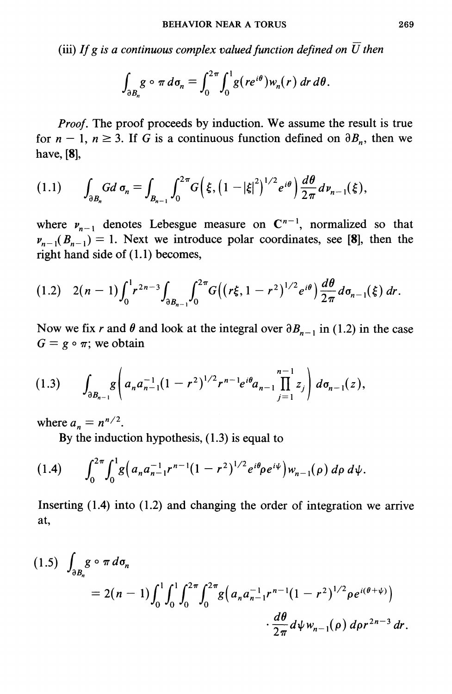(iii) If g is a continuous complex valued function defined on  $\overline{U}$  then

$$
\int_{\partial B_n} g \circ \pi \, d\sigma_n = \int_0^{2\pi} \int_0^1 g(re^{i\theta}) w_n(r) \, dr \, d\theta.
$$

Proof. The proof proceeds by induction. We assume the result is true for  $n-1$ ,  $n \ge 3$ . If G is a continuous function defined on  $\partial B_n$ , then we have, [8],

$$
(1.1) \qquad \int_{\partial B_n} G d \, \sigma_n = \int_{B_{n-1}} \int_0^{2\pi} G\Big(\xi, \big(1-|\xi|^2\big)^{1/2} e^{i\theta}\Big) \frac{d\theta}{2\pi} d \nu_{n-1}(\xi),
$$

where  $v_{n-1}$  denotes Lebesgue measure on  $C^{n-1}$ , normalized so that  $\nu_{n-1}(B_{n-1}) = 1$ . Next we introduce polar coordinates, see [8], then the right hand side of  $(1.1)$  becomes,

$$
(1.2) \quad 2(n-1)\int_0^1 r^{2n-3}\int_{\partial B_{n-1}} \int_0^{2\pi} G\big((r\xi,1-r^2)^{1/2}e^{i\theta}\big)\frac{d\theta}{2\pi}d\sigma_{n-1}(\xi)\,dr.
$$

Now we fix r and  $\theta$  and look at the integral over  $\partial B_{n-1}$  in (1.2) in the case  $G = g \circ \pi$ ; we obtain

$$
(1.3) \qquad \int_{\partial B_{n-1}} g\left(a_n a_{n-1}^{-1} (1-r^2)^{1/2} r^{n-1} e^{i\theta} a_{n-1} \prod_{j=1}^{n-1} z_j\right) d\sigma_{n-1}(z),
$$

where  $a_n = n^{n/2}$ .

By the induction hypothesis,  $(1.3)$  is equal to

$$
(1.4) \qquad \int_0^{2\pi} \int_0^1 g\Big(a_n a_{n-1}^{-1} r^{n-1} (1-r^2)^{1/2} e^{i\theta} \rho e^{i\psi}\Big) w_{n-1}(\rho) \, d\rho \, d\psi.
$$

Inserting  $(1.4)$  into  $(1.2)$  and changing the order of integration we arrive at,

$$
(1.5) \int_{\partial B_n} g \circ \pi \, d\sigma_n
$$
  
=  $2(n-1) \int_0^1 \int_0^1 \int_0^{2\pi} \int_0^{2\pi} g\Big( a_n a_{n-1}^{-1} r^{n-1} (1-r^2)^{1/2} \rho e^{i(\theta+\psi)} \Big) \cdot \frac{d\theta}{2\pi} d\psi w_{n-1}(\rho) d\rho r^{2n-3} dr.$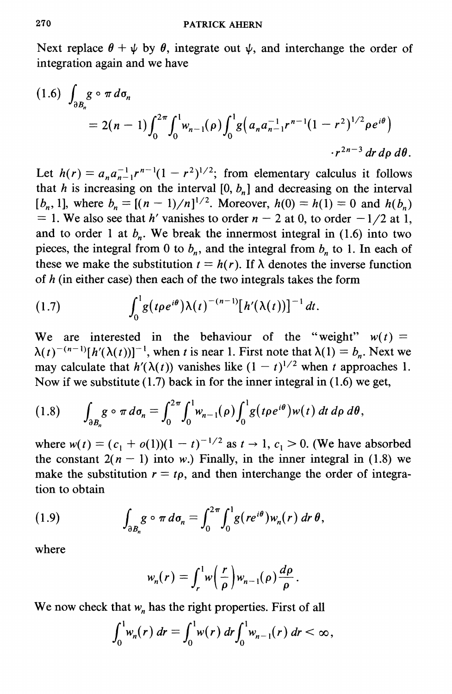Next replace  $\theta + \psi$  by  $\theta$ , integrate out  $\psi$ , and interchange the order of integration again and we have

$$
(1.6) \int_{\partial B_n} g \circ \pi \, d\sigma_n
$$
  
=  $2(n-1) \int_0^{2\pi} \int_0^1 w_{n-1}(\rho) \int_0^1 g\left(a_n a_{n-1}^{-1} r^{n-1} (1-r^2)^{1/2} \rho e^{i\theta}\right)$   
  $\int r^{2n-3} dr \, d\rho \, d\theta$ .

Let  $h(r) = a_n a_{n-1}^{-1} r^{n-1} (1 - r^2)^{1/2}$ ; from elementary calculus it follows that h is increasing on the interval  $[0, b_n]$  and decreasing on the interval  $[b_n, 1]$ , where  $b_n = [(n - 1)/n]^{1/2}$ . Moreover,  $h(0) = h(1) = 0$  and  $h(b_n)$ = 1. We also see that h' vanishes to order  $n - 2$  at 0, to order  $-1/2$  at 1, and to order 1 at  $b_n$ . We break the innermost integral in (1.6) into two pieces, the integral from 0 to  $b_n$ , and the integral from  $b_n$  to 1. In each of these we make the substitution  $t = h(r)$ . If  $\lambda$  denotes the inverse function of  $h$  (in either case) then each of the two integrals takes the form

$$
(1.7) \qquad \int_0^1 g(t\rho e^{i\theta})\lambda(t)^{-(n-1)}[h'(\lambda(t))]^{-1} dt.
$$

We are interested in the behaviour of the "weight"  $w(t)$  =  $\lambda(t)^{-(n-1)}[h'(\lambda(t))]^{-1}$ , when t is near 1. First note that  $\lambda(1) = b_n$ . Next we may calculate that  $h'(\lambda(t))$  vanishes like  $(1-t)^{1/2}$  when t approaches 1. Now if we substitute  $(1.7)$  back in for the inner integral in  $(1.6)$  we get,

$$
(1.8) \qquad \int_{\partial B_n} g \circ \pi \, d\sigma_n = \int_0^{2\pi} \int_0^1 w_{n-1}(\rho) \int_0^1 g(t\rho e^{i\theta}) w(t) \, dt \, d\rho \, d\theta,
$$

where  $w(t) = (c_1 + o(1))(1 - t)^{-1/2}$  as  $t \to 1$ ,  $c_1 > 0$ . (We have absorbed the constant  $2(n - 1)$  into w.) Finally, in the inner integral in (1.8) we make the substitution  $r = tp$ , and then interchange the order of integration to obtain

(1.9) 
$$
\int_{\partial B_n} g \circ \pi \, d\sigma_n = \int_0^{2\pi} \int_0^1 g(re^{i\theta}) w_n(r) \, dr \, \theta,
$$

where

$$
w_n(r) = \int_r^1 w\left(\frac{r}{\rho}\right) w_{n-1}(\rho) \frac{d\rho}{\rho}.
$$

We now check that  $w_n$  has the right properties. First of all

$$
\int_0^1 w_n(r) \, dr = \int_0^1 w(r) \, dr \int_0^1 w_{n-1}(r) \, dr < \infty,
$$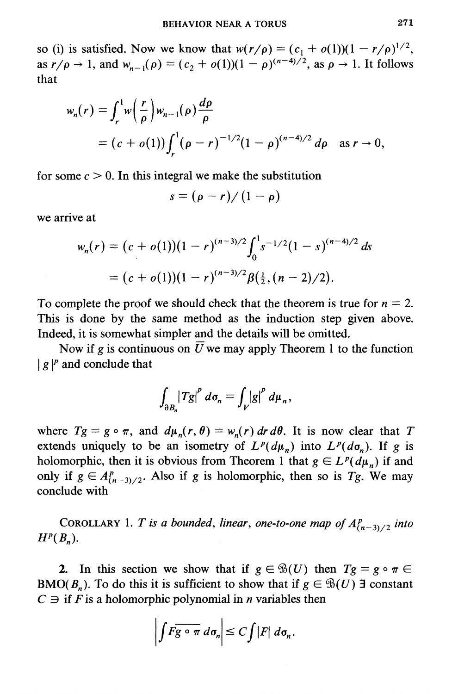so (i) is satisfied. Now we know that  $w(r/\rho) = (c_1 + o(1))(1 - r/\rho)^{1/2}$ , as  $r/\rho \to 1$ , and  $w_{n-1}(\rho) = (c_2 + o(1))(1 - \rho)^{(n-4)/2}$ , as  $\rho \to 1$ . It follows that

$$
w_n(r) = \int_r^1 w\left(\frac{r}{\rho}\right) w_{n-1}(\rho) \frac{d\rho}{\rho}
$$
  
=  $(c + o(1)) \int_r^1 (\rho - r)^{-1/2} (1 - \rho)^{(n-4)/2} d\rho$  as  $r \to 0$ .

for some  $c > 0$ . In this integral we make the substitution

$$
s=(\rho-r)/(1-\rho)
$$

we arrive at

$$
w_n(r) = (c + o(1))(1 - r)^{(n-3)/2} \int_0^1 s^{-1/2} (1 - s)^{(n-4)/2} ds
$$
  
=  $(c + o(1))(1 - r)^{(n-3)/2} \beta(\frac{1}{2}, (n-2)/2).$ 

To complete the proof we should check that the theorem is true for  $n = 2$ . This is done by the same method as the induction step given above. Indeed, it is somewhat simpler and the details will be omitted.

Now if g is continuous on  $\overline{U}$  we may apply Theorem 1 to the function  $|g|^{p}$  and conclude that

$$
\int_{\partial B_n} \bigl|Tg\bigr|^p \ d\sigma_n = \int_V \bigl|g\bigr|^p \ d\mu_n,
$$

where  $Tg = g \circ \pi$ , and  $d\mu_n(r, \theta) = w_n(r) dr d\theta$ . It is now clear that T extends uniquely to be an isometry of  $L^p(d\mu_n)$  into  $L^p(d\sigma_n)$ . If g is holomorphic, then it is obvious from Theorem 1 that  $g \in L^p(d\mu_n)$  if and only if  $g \in A_{(n-3)/2}^p$ . Also if g is holomorphic, then so is Tg. We may conclude with

COROLLARY 1. T is a bounded, linear, one-to-one map of  $A_{(n-3)/2}^p$  into  $H^p(B_n)$ .

2. In this section we show that if  $g \in \mathcal{B}(U)$  then  $Tg = g \circ \pi \in$ BMO( $B_n$ ). To do this it is sufficient to show that if  $g \in \mathcal{B}(U)$  3 constant  $C \ni$  if F is a holomorphic polynomial in *n* variables then

$$
\left|\int F\overline{g\circ\pi}\,d\sigma_n\right|\leq C\int|F|\,d\sigma_n.
$$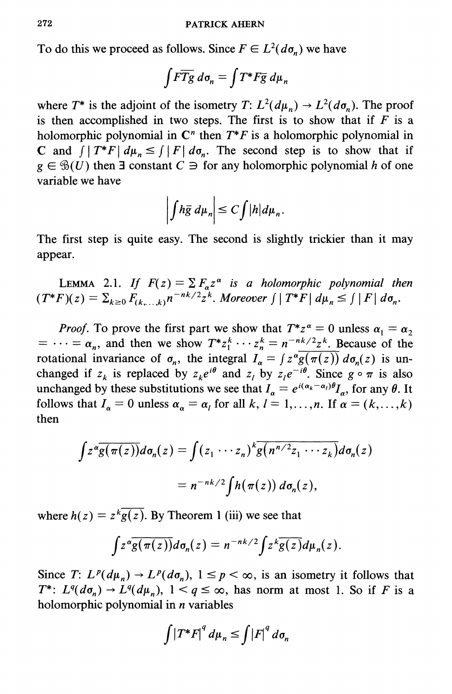To do this we proceed as follows. Since  $F \in L^2(d\sigma_n)$  we have

$$
\int F \overline{Tg} \, d\sigma_n = \int T^* F \overline{g} \, d\mu_n
$$

where  $T^*$  is the adjoint of the isometry  $T: L^2(d\mu_n) \to L^2(d\sigma_n)$ . The proof is then accomplished in two steps. The first is to show that if  $F$  is a holomorphic polynomial in  $\mathbb{C}^n$  then  $T^*F$  is a holomorphic polynomial in C and  $\int |T^*F| d\mu_n \leq \int |F| d\sigma_n$ . The second step is to show that if  $g \in \mathcal{B}(U)$  then **E** constant  $C \ni$  for any holomorphic polynomial h of one variable we have

$$
\left|\int h\bar{g} \ d\mu_n\right| \leq C \int |h| d\mu_n.
$$

The first step is quite easy. The second is slightly trickier than it may appear.

LEMMA 2.1. If  $F(z) = \sum F_{\alpha} z^{\alpha}$  is a holomorphic polynomial then<br> $(T^*F)(z) = \sum_{k \ge 0} F_{(k,\ldots,k)} n^{-nk/2} z^k$ . Moreover  $\int |T^*F| d\mu_n \le \int |F| d\sigma_n$ .

*Proof.* To prove the first part we show that  $T^*z^{\alpha} = 0$  unless  $\alpha_1 = \alpha_2$  $= \cdots = \alpha_n$ , and then we show  $T^*z_1^k \cdots z_n^k = n^{-nk/2}z^k$ . Because of the rotational invariance of  $\sigma_n$ , the integral  $I_{\alpha} = \int z^{\alpha} \overline{g(\pi(z))} d\sigma_n(z)$  is unchanged if  $z_k$  is replaced by  $z_k e^{i\theta}$  and  $z_l$  by  $z_l e^{-i\theta}$ . Since  $g \circ \pi$  is also unchanged by these substitutions we see that  $I_{\alpha} = e^{i(\alpha_k - \alpha_l)\theta} I_{\alpha}$ , for any  $\theta$ . It follows that  $I_{\alpha} = 0$  unless  $\alpha_{\alpha} = \alpha_l$  for all k,  $l = 1, ..., n$ . If  $\alpha = (k, ..., k)$ then

$$
\int z^{\alpha} \overline{g(\pi(z))} d\sigma_n(z) = \int (z_1 \cdots z_n)^k \overline{g(n^{n/2}z_1 \cdots z_k)} d\sigma_n(z)
$$

$$
= n^{-nk/2} \int h(\pi(z)) d\sigma_n(z),
$$

where  $h(z) = z^{k} g(z)$ . By Theorem 1 (iii) we see that

$$
\int z^{\alpha} \overline{g(\pi(z))} d\sigma_n(z) = n^{-nk/2} \int z^k \overline{g(z)} d\mu_n(z).
$$

Since T:  $L^p(d\mu_n) \to L^p(d\sigma_n)$ ,  $1 \leq p < \infty$ , is an isometry it follows that  $T^*$ :  $L^q(d\sigma_n) \to L^q(d\mu_n)$ ,  $1 < q \leq \infty$ , has norm at most 1. So if F is a holomorphic polynomial in *n* variables

$$
\int \left|T^*F\right|^q d\mu_n \leq \int \left|F\right|^q d\sigma_n
$$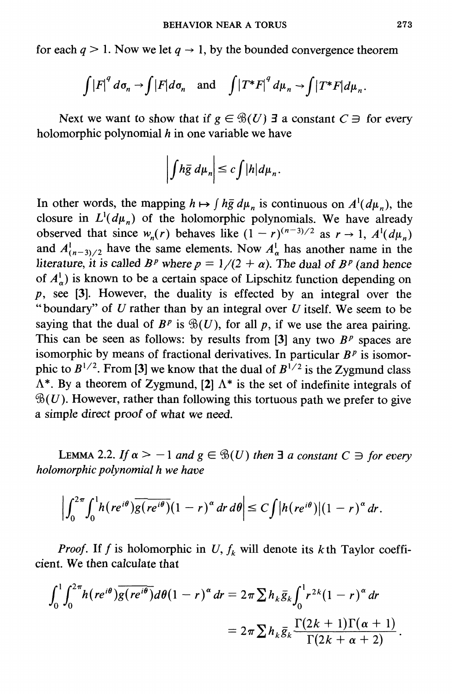for each  $q > 1$ . Now we let  $q \to 1$ , by the bounded convergence theorem

$$
\int |F|^q d\sigma_n \to \int |F| d\sigma_n \quad \text{and} \quad \int |T^*F|^q d\mu_n \to \int |T^*F| d\mu_n.
$$

Next we want to show that if  $g \in \mathcal{B}(U)$  3 a constant  $C \ni$  for every holomorphic polynomial  $h$  in one variable we have

$$
\left|\int h\bar{g} \ d\mu_n\right| \leq c \int |h| d\mu_n.
$$

In other words, the mapping  $h \mapsto \int h\bar{g} d\mu_n$  is continuous on  $A^1(d\mu_n)$ , the closure in  $L^1(d\mu_n)$  of the holomorphic polynomials. We have already observed that since  $w_n(r)$  behaves like  $(1 - r)^{(n-3)/2}$  as  $r \to 1$ ,  $A^1(d\mu_n)$ and  $A_{(n-3)/2}^1$  have the same elements. Now  $A_{\alpha}^1$  has another name in the literature, it is called  $B^p$  where  $p = 1/(2 + \alpha)$ . The dual of  $B^p$  (and hence of  $A_{\alpha}^{1}$ ) is known to be a certain space of Lipschitz function depending on  $p$ , see [3]. However, the duality is effected by an integral over the "boundary" of  $U$  rather than by an integral over  $U$  itself. We seem to be saying that the dual of  $B^p$  is  $\mathcal{B}(U)$ , for all p, if we use the area pairing. This can be seen as follows: by results from [3] any two  $B<sup>p</sup>$  spaces are isomorphic by means of fractional derivatives. In particular  $B<sup>p</sup>$  is isomorphic to  $B^{1/2}$ . From [3] we know that the dual of  $B^{1/2}$  is the Zygmund class  $\Lambda^*$ . By a theorem of Zygmund, [2]  $\Lambda^*$  is the set of indefinite integrals of  $\mathcal{B}(U)$ . However, rather than following this tortuous path we prefer to give a simple direct proof of what we need.

LEMMA 2.2. If  $\alpha > -1$  and  $g \in \mathcal{B}(U)$  then  $\exists a$  constant  $C \ni$  for every holomorphic polynomial h we have

$$
\left|\int_0^{2\pi}\!\int_0^1\!\!h(re^{i\theta})\overline{g(re^{i\theta})}(1-r)^{\alpha}\,dr\,d\theta\right|\leq C\!\int\!|h(re^{i\theta})|(1-r)^{\alpha}\,dr.
$$

*Proof.* If f is holomorphic in U,  $f_k$  will denote its kth Taylor coefficient. We then calculate that

$$
\int_0^1 \int_0^{2\pi} h(re^{i\theta}) \overline{g(re^{i\theta})} d\theta (1-r)^{\alpha} dr = 2\pi \sum h_k \overline{g}_k \int_0^1 r^{2k} (1-r)^{\alpha} dr
$$
  
=  $2\pi \sum h_k \overline{g}_k \frac{\Gamma(2k+1)\Gamma(\alpha+1)}{\Gamma(2k+\alpha+2)}$ .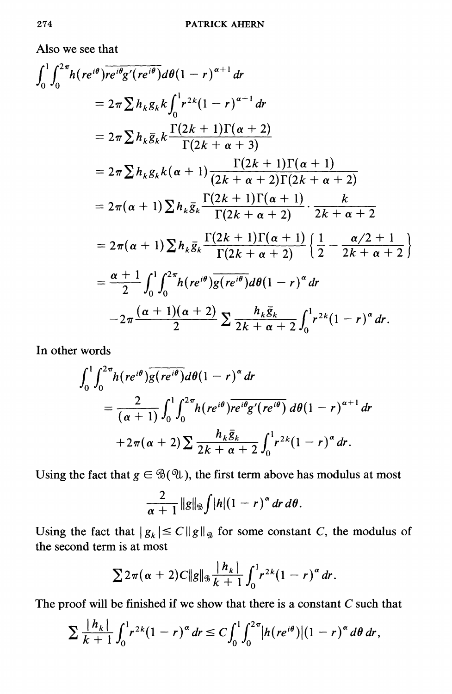Also we see that

$$
\int_0^1 \int_0^{2\pi} h(re^{i\theta}) \overline{re^{i\theta}g'(re^{i\theta})} d\theta (1-r)^{\alpha+1} dr
$$
  
\n
$$
= 2\pi \sum h_k g_k k \int_0^1 r^{2k} (1-r)^{\alpha+1} dr
$$
  
\n
$$
= 2\pi \sum h_k \overline{g}_k k \frac{\Gamma(2k+1)\Gamma(\alpha+2)}{\Gamma(2k+\alpha+3)}
$$
  
\n
$$
= 2\pi \sum h_k g_k k (\alpha+1) \frac{\Gamma(2k+1)\Gamma(\alpha+1)}{(2k+\alpha+2)\Gamma(2k+\alpha+2)}
$$
  
\n
$$
= 2\pi (\alpha+1) \sum h_k \overline{g}_k \frac{\Gamma(2k+1)\Gamma(\alpha+1)}{\Gamma(2k+\alpha+2)} \cdot \frac{k}{2k+\alpha+2}
$$
  
\n
$$
= 2\pi (\alpha+1) \sum h_k \overline{g}_k \frac{\Gamma(2k+1)\Gamma(\alpha+1)}{\Gamma(2k+\alpha+2)} \left\{ \frac{1}{2} - \frac{\alpha/2+1}{2k+\alpha+2} \right\}
$$
  
\n
$$
= \frac{\alpha+1}{2} \int_0^1 \int_0^{2\pi} h(re^{i\theta}) \overline{g(re^{i\theta})} d\theta (1-r)^{\alpha} dr
$$
  
\n
$$
-2\pi \frac{(\alpha+1)(\alpha+2)}{2} \sum \frac{h_k \overline{g}_k}{2k+\alpha+2} \int_0^1 r^{2k} (1-r)^{\alpha} dr.
$$

In other words

 $\ddot{\phantom{0}}$ 

$$
\int_0^1 \int_0^{2\pi} h(re^{i\theta}) \overline{g(re^{i\theta})} d\theta (1-r)^{\alpha} dr
$$
  
= 
$$
\frac{2}{(\alpha+1)} \int_0^1 \int_0^{2\pi} h(re^{i\theta}) \overline{re^{i\theta}g'(re^{i\theta})} d\theta (1-r)^{\alpha+1} dr
$$
  
+ 
$$
2\pi(\alpha+2) \sum \frac{h_k \overline{g}_k}{2k+\alpha+2} \int_0^1 r^{2k} (1-r)^{\alpha} dr.
$$

Using the fact that  $g \in \mathcal{B}(\mathcal{U})$ , the first term above has modulus at most

$$
\frac{2}{\alpha+1}\|g\|_{\mathfrak{B}}\int |h|(1-r)^{\alpha}\,dr\,d\theta.
$$

Using the fact that  $|g_k| \leq C ||g||_{\mathcal{L}}$  for some constant C, the modulus of the second term is at most

$$
\sum 2\pi(\alpha+2)C\|g\|_{\mathcal{B}}\frac{|h_k|}{k+1}\int_0^1r^{2k}(1-r)^{\alpha}dr.
$$

The proof will be finished if we show that there is a constant  $C$  such that

$$
\sum \frac{|h_k|}{k+1} \int_0^1 r^{2k} (1-r)^{\alpha} dr \leq C \int_0^1 \int_0^{2\pi} |h(re^{i\theta})| (1-r)^{\alpha} d\theta dr,
$$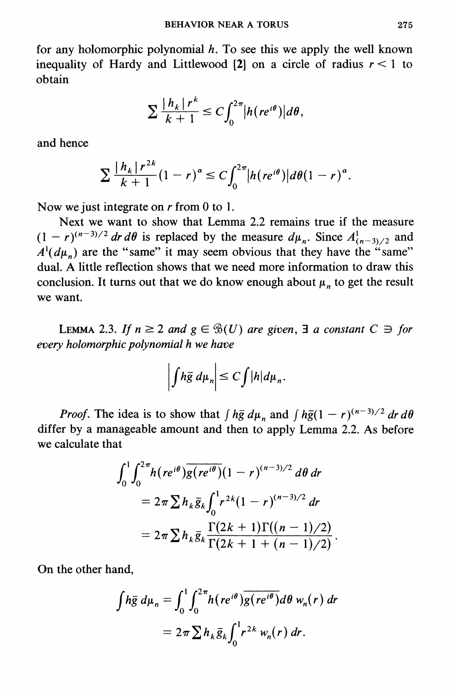for any holomorphic polynomial  $h$ . To see this we apply the well known inequality of Hardy and Littlewood [2] on a circle of radius  $r < 1$  to obtain

$$
\sum \frac{|h_k| r^k}{k+1} \leq C \int_0^{2\pi} |h(re^{i\theta})| d\theta,
$$

and hence

$$
\sum \frac{|h_k|r^{2k}}{k+1}(1-r)^{\alpha} \leq C \int_0^{2\pi} |h(re^{i\theta})| d\theta (1-r)^{\alpha}.
$$

Now we just integrate on  $r$  from 0 to 1.

Next we want to show that Lemma 2.2 remains true if the measure  $(1 - r)^{(n-3)/2}$  dr d $\theta$  is replaced by the measure  $d\mu_n$ . Since  $A^1_{(n-3)/2}$  and  $A^1(d\mu_n)$  are the "same" it may seem obvious that they have the "same" dual. A little reflection shows that we need more information to draw this conclusion. It turns out that we do know enough about  $\mu_n$  to get the result we want.

LEMMA 2.3. If  $n \ge 2$  and  $g \in \mathcal{B}(U)$  are given,  $\exists$  a constant  $C \ni$  for every holomorphic polynomial h we have

$$
\left|\int h\bar{g} \ d\mu_n\right| \leq C \int |h| d\mu_n.
$$

*Proof.* The idea is to show that  $\int h\bar{g} d\mu_n$  and  $\int h\bar{g}(1 - r)^{(n-3)/2} dr d\theta$ differ by a manageable amount and then to apply Lemma 2.2. As before we calculate that

$$
\int_0^1 \int_0^{2\pi} h(re^{i\theta}) \overline{g(re^{i\theta})} (1-r)^{(n-3)/2} d\theta dr
$$
  
=  $2\pi \sum h_k \overline{g}_k \int_0^1 r^{2k} (1-r)^{(n-3)/2} dr$   
=  $2\pi \sum h_k \overline{g}_k \frac{\Gamma(2k+1)\Gamma((n-1)/2)}{\Gamma(2k+1+(n-1)/2)}$ 

On the other hand,

$$
\int h\bar{g} d\mu_n = \int_0^1 \int_0^{2\pi} h(re^{i\theta}) \overline{g(re^{i\theta})} d\theta w_n(r) dr
$$

$$
= 2\pi \sum h_k \bar{g}_k \int_0^1 r^{2k} w_n(r) dr.
$$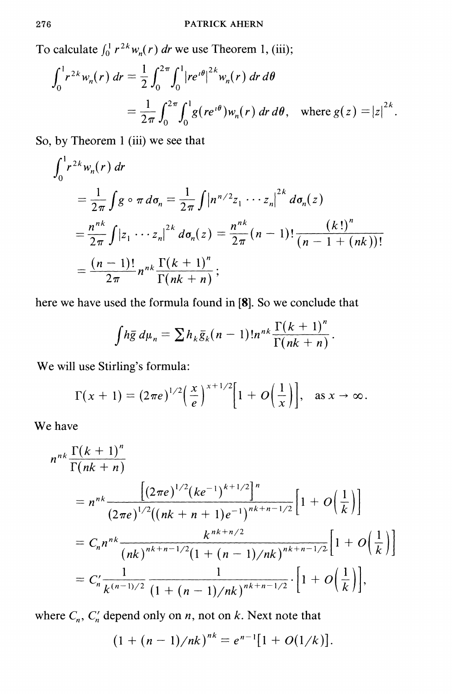To calculate  $\int_0^1 r^{2k} w_n(r) dr$  we use Theorem 1, (iii);

$$
\int_0^1 r^{2k} w_n(r) dr = \frac{1}{2} \int_0^{2\pi} \int_0^1 |re^{i\theta}|^{2k} w_n(r) dr d\theta
$$
  
=  $\frac{1}{2\pi} \int_0^{2\pi} \int_0^1 g(re^{i\theta}) w_n(r) dr d\theta$ , where  $g(z) = |z|^{2k}$ .

So, by Theorem 1 (iii) we see that

$$
\int_0^1 r^{2k} w_n(r) dr
$$
  
=  $\frac{1}{2\pi} \int g \circ \pi d\sigma_n = \frac{1}{2\pi} \int |n^{n/2} z_1 \cdots z_n|^{2k} d\sigma_n(z)$   
=  $\frac{n^{nk}}{2\pi} \int |z_1 \cdots z_n|^{2k} d\sigma_n(z) = \frac{n^{nk}}{2\pi} (n-1)! \frac{(k!)^n}{(n-1+(nk))!}$   
=  $\frac{(n-1)!}{2\pi} n^{nk} \frac{\Gamma(k+1)^n}{\Gamma(nk+n)};$ 

here we have used the formula found in [8]. So we conclude that

$$
\int h\bar{g} \, d\mu_n = \sum h_k \bar{g}_k (n-1)! n^{nk} \frac{\Gamma(k+1)^n}{\Gamma(nk+n)}.
$$

We will use Stirling's formula:

$$
\Gamma(x+1)=(2\pi e)^{1/2}\left(\frac{x}{e}\right)^{x+1/2}\left[1+O\left(\frac{1}{x}\right)\right], \quad \text{as } x\to\infty.
$$

We have

$$
n^{nk} \frac{\Gamma(k+1)^n}{\Gamma(nk+n)}
$$
  
=  $n^{nk} \frac{\left[ (2\pi e)^{1/2} (ke^{-1})^{k+1/2} \right]^n}{(2\pi e)^{1/2} ((nk+n+1)e^{-1})^{nk+n-1/2}} \left[ 1 + O\left(\frac{1}{k}\right) \right]$   
=  $C_n n^{nk} \frac{k^{nk+n/2}}{(nk)^{nk+n-1/2} (1 + (n-1)/nk)^{nk+n-1/2}} \left[ 1 + O\left(\frac{1}{k}\right) \right]$   
=  $C'_n \frac{1}{k^{(n-1)/2}} \frac{1}{(1 + (n-1)/nk)^{nk+n-1/2}} \cdot \left[ 1 + O\left(\frac{1}{k}\right) \right],$ 

where  $C_n$ ,  $C'_n$  depend only on *n*, not on *k*. Next note that

$$
(1 + (n-1)/nk)^{nk} = e^{n-1}[1 + O(1/k)].
$$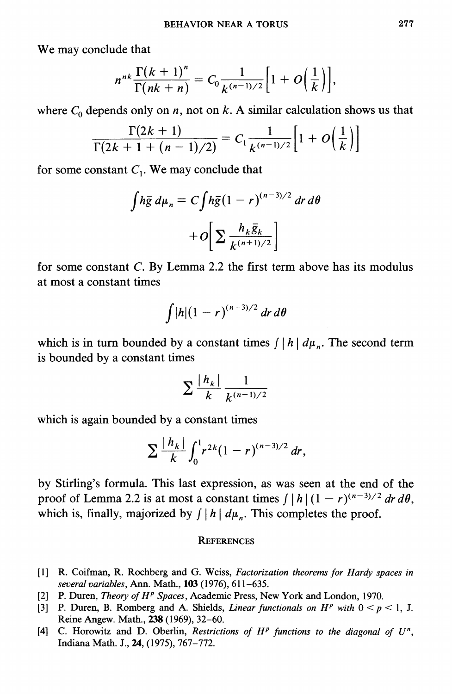We may conclude that

$$
n^{nk}\frac{\Gamma(k+1)^n}{\Gamma(nk+n)}=C_0\frac{1}{k^{(n-1)/2}}\Big[1+O\Big(\frac{1}{k}\Big)\Big],
$$

where  $C_0$  depends only on n, not on k. A similar calculation shows us that

$$
\frac{\Gamma(2k+1)}{\Gamma(2k+1+(n-1)/2)}=C_1\frac{1}{k^{(n-1)/2}}\Big[1+O\Big(\frac{1}{k}\Big)\Big]
$$

for some constant  $C_1$ . We may conclude that

$$
\int h\bar{g} \, d\mu_n = C \int h\bar{g} (1 - r)^{(n-3)/2} \, dr \, d\theta
$$

$$
+ O \bigg[ \sum \frac{h_k \bar{g}_k}{k^{(n+1)/2}} \bigg]
$$

for some constant C. By Lemma 2.2 the first term above has its modulus at most a constant times

$$
\int |h|(1-r)^{(n-3)/2}\,dr\,d\theta
$$

which is in turn bounded by a constant times  $\int |h| d\mu_n$ . The second term is bounded by a constant times

$$
\sum \frac{|h_k|}{k} \frac{1}{k^{(n-1)/2}}
$$

which is again bounded by a constant times

$$
\sum \frac{|h_k|}{k} \int_0^1 r^{2k} (1-r)^{(n-3)/2} \, dr
$$

by Stirling's formula. This last expression, as was seen at the end of the proof of Lemma 2.2 is at most a constant times  $\int |h|(1 - r)^{(n-3)/2} dr d\theta$ . which is, finally, majorized by  $\int |h| d\mu_n$ . This completes the proof.

## **REFERENCES**

- [1] R. Coifman, R. Rochberg and G. Weiss, Factorization theorems for Hardy spaces in several variables, Ann. Math., 103 (1976), 611-635.
- [2] P. Duren, Theory of H<sup>p</sup> Spaces, Academic Press, New York and London, 1970.
- [3] P. Duren, B. Romberg and A. Shields, *Linear functionals on H<sup>p</sup>* with  $0 < p < 1$ , J. Reine Angew. Math., 238 (1969), 32-60.
- [4] C. Horowitz and D. Oberlin, Restrictions of  $H^p$  functions to the diagonal of  $U^n$ , Indiana Math. J., 24, (1975), 767-772.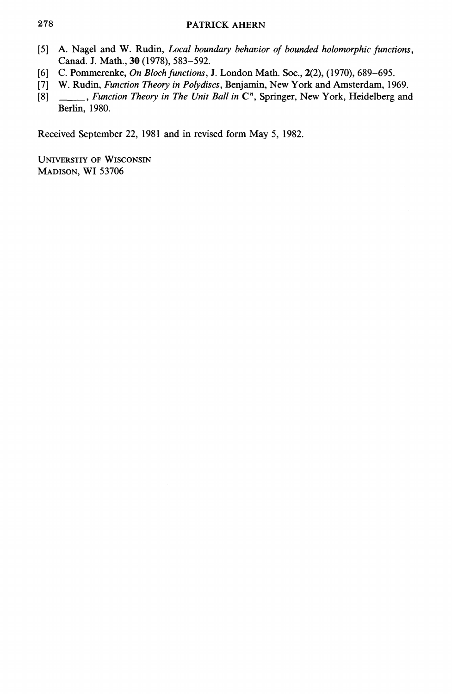## **PATRICK AHERN**

- $\lceil 5 \rceil$ A. Nagel and W. Rudin, Local boundary behavior of bounded holomorphic functions, Canad. J. Math., 30 (1978), 583-592.
- C. Pommerenke, On Bloch functions, J. London Math. Soc., 2(2), (1970), 689-695.  $[6]$
- W. Rudin, Function Theory in Polydiscs, Benjamin, New York and Amsterdam, 1969.  $[7]$
- \_\_\_\_, Function Theory in The Unit Ball in C<sup>n</sup>, Springer, New York, Heidelberg and  $[8]$ Berlin, 1980.

Received September 22, 1981 and in revised form May 5, 1982.

**UNIVERSTIY OF WISCONSIN** MADISON, WI 53706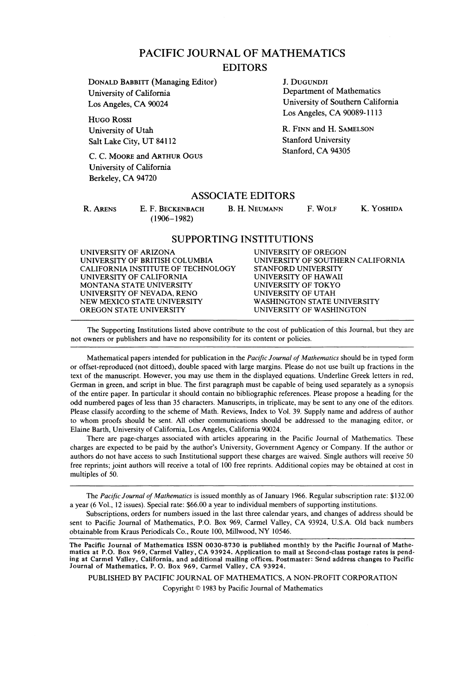## PACIFIC JOURNAL OF MATHEMATICS

### EDITORS

**DONALD BABBITT (Managing Editor)** J. DUGUNDJI<br> **Iniversity of California** Department of Mathematics University of California Los Angeles, CA 90024 University of Southern California

HUGO ROSSI University of Utah R. FINN and H. SAMELSON Salt Lake City, UT 84112 Stanford University

C. C. MOORE and ARTHUR OGUS Stanford, CA 94305 University of California University of California Berkeley, CA 94720

Los Angeles, CA 90089-1113

### ASSOCIATE EDITORS

(1906-1982)

R. ARENS E. F. BECKENBACH B. H. NEUMANN F. WOLF K. YOSHIDA

### SUPPORTING INSTITUTIONS

UNIVERSITY OF ARIZONA UNIVERSITY OF OREGON CALIFORNIA INSTITUTE OF TECHNOLOGY STANFORD UNIVERSITY<br>UNIVERSITY OF CALIFORNIA UNIVERSITY OF HAWAII UNIVERSITY OF CALIFORNIA UNIVERSITY OF HAWAII<br>MONTANA STATE UNIVERSITY UNIVERSITY OF TOKYO MONTANA STATE UNIVERSITY UNIVERSITY OF TOKYO UNIVERSITY OF NEVADA, RENO UNIVERSITY OF UTAH NEW MEXICO STATE UNIVERSITY<br>OREGON STATE UNIVERSITY

UNIVERSITY OF SOUTHERN CALIFORNIA<br>STANFORD UNIVERSITY UNIVERSITY OF WASHINGTON

The Supporting Institutions listed above contribute to the cost of publication of this Journal, but they are not owners or publishers and have no responsibility for its content or policies.

Mathematical papers intended for publication in the *Pacific Journal of Mathematics* should be in typed form or offset-reproduced (not dittoed), double spaced with large margins. Please do not use built up fractions in the text of the manuscript. However, you may use them in the displayed equations. Underline Greek letters in red, German in green, and script in blue. The first paragraph must be capable of being used separately as a synopsis of the entire paper. In particular it should contain no bibliographic references. Please propose a heading for the odd numbered pages of less than 35 characters. Manuscripts, in triplicate, may be sent to any one of the editors. Please classify according to the scheme of Math. Reviews, Index to Vol. 39. Supply name and address of author to whom proofs should be sent. All other communications should be addressed to the managing editor, or Elaine Barth, University of California, Los Angeles, California 90024.

There are page-charges associated with articles appearing in the Pacific Journal of Mathematics. These charges are expected to be paid by the author's University, Government Agency or Company. If the author or authors do not have access to such Institutional support these charges are waived. Single authors will receive 50 free reprints; joint authors will receive a total of 100 free reprints. Additional copies may be obtained at cost in multiples of 50.

The *Pacific Journal of Mathematics* is issued monthly as of January 1966. Regular subscription rate: \$132.00 a year (6 Vol., 12 issues). Special rate: \$66.00 a year to individual members of supporting institutions.

Subscriptions, orders for numbers issued in the last three calendar years, and changes of address should be sent to Pacific Journal of Mathematics, P.O. Box 969, Carmel Valley, CA 93924, U.S.A. Old back numbers obtainable from Kraus Periodicals Co., Route 100, Millwood, NY 10546.

The Pacific Journal of Mathematics ISSN 0030-8730 is published monthly by the Pacific Journal of Mathematics at P.O. Box 969, Carmel Valley, CA 93924. Application to mail at Second-class postage rates is pending at Carmel Valley, California, and additional mailing offices. Postmaster: Send address changes to Pacific Journal of Mathematics, P.O. Box 969, Carmel Valley, CA 93924.

PUBLISHED BY PACIFIC JOURNAL OF MATHEMATICS, A NON-PROFIT CORPORATION Copyright © 1983 by Pacific Journal of Mathematics